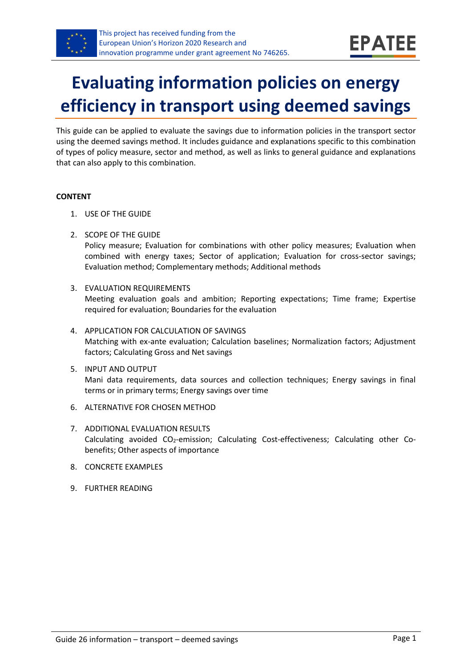

# **Evaluating information policies on energy efficiency in transport using deemed savings**

This guide can be applied to evaluate the savings due to information policies in the transport sector using the deemed savings method. It includes guidance and explanations specific to this combination of types of policy measure, sector and method, as well as links to general guidance and explanations that can also apply to this combination.

#### **CONTENT**

- 1. USE OF THE GUIDE
- <span id="page-0-1"></span>2. SCOPE OF THE GUIDE Policy measure; Evaluation for combinations with other policy measures; Evaluation when combined with energy taxes; Sector of application; Evaluation for cross-sector savings; Evaluation method; Complementary methods; Additional methods
- <span id="page-0-2"></span>3. EVALUATION REQUIREMENTS Meeting evaluation goals and ambition; Reporting expectations; Time frame; Expertise required for evaluation; Boundaries for the evaluation
- <span id="page-0-3"></span>4. APPLICATION FOR CALCULATION OF SAVINGS Matching with ex-ante evaluation; Calculation baselines; Normalization factors; Adjustment factors; Calculating Gross and Net savings
- <span id="page-0-4"></span>5. INPUT AND OUTPUT Mani data requirements, data sources and collection techniques; Energy savings in final terms or in primary terms; Energy savings over time
- <span id="page-0-0"></span>6. ALTERNATIVE FOR CHOSEN METHOD
- <span id="page-0-5"></span>7. ADDITIONAL EVALUATION RESULTS Calculating avoided CO2-emission; Calculating Cost-effectiveness; Calculating other Cobenefits; Other aspects of importance
- <span id="page-0-6"></span>8. CONCRETE EXAMPLES
- <span id="page-0-7"></span>9. FURTHER READING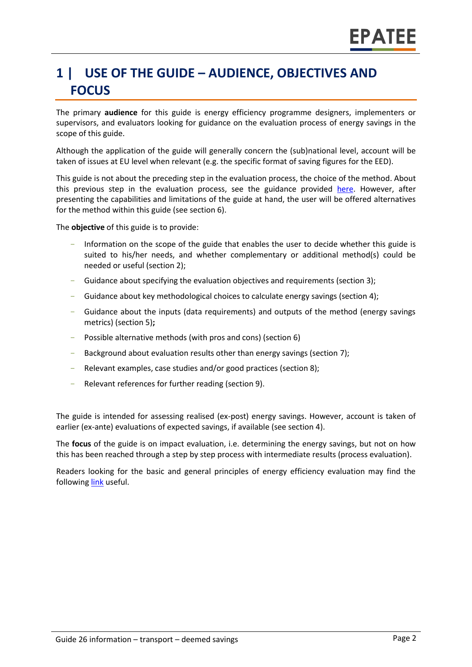# **1 | USE OF THE GUIDE – AUDIENCE, OBJECTIVES AND FOCUS**

The primary **audience** for this guide is energy efficiency programme designers, implementers or supervisors, and evaluators looking for guidance on the evaluation process of energy savings in the scope of this guide.

Although the application of the guide will generally concern the (sub)national level, account will be taken of issues at EU level when relevant (e.g. the specific format of saving figures for the EED).

This guide is not about the preceding step in the evaluation process, the choice of the method. About this previous step in the evaluation process, see the guidance provided [here.](https://www.epatee-toolbox.eu/wp-content/uploads/2019/04/epatee_integrating_evaluation_into_policy_cycle.pdf) However, after presenting the capabilities and limitations of the guide at hand, the user will be offered alternatives for the method within this guide (see section [6\)](#page-0-0).

The **objective** of this guide is to provide:

- Information on the scope of the guide that enables the user to decide whether this guide is suited to his/her needs, and whether complementary or additional method(s) could be needed or useful (sectio[n 2\)](#page-0-1);
- Guidance about specifying the evaluation objectives and requirements (section [3\)](#page-0-2);
- Guidance about key methodological choices to calculate energy savings (section [4\)](#page-0-3);
- Guidance about the inputs (data requirements) and outputs of the method (energy savings metrics) (sectio[n 5\)](#page-0-4)**;**
- Possible alternative methods (with pros and cons) (section [6\)](#page-0-0)
- Background about evaluation results other than energy savings (sectio[n 7\)](#page-0-5);
- Relevant examples, case studies and/or good practices (section [8\)](#page-0-6);
- Relevant references for further reading (section [9\)](#page-0-7).

The guide is intended for assessing realised (ex-post) energy savings. However, account is taken of earlier (ex-ante) evaluations of expected savings, if available (see section [4\)](#page-0-3).

The **focus** of the guide is on impact evaluation, i.e. determining the energy savings, but not on how this has been reached through a step by step process with intermediate results (process evaluation).

Readers looking for the basic and general principles of energy efficiency evaluation may find the following [link](https://www.epatee-toolbox.eu/evaluation-principles-and-methods/) useful.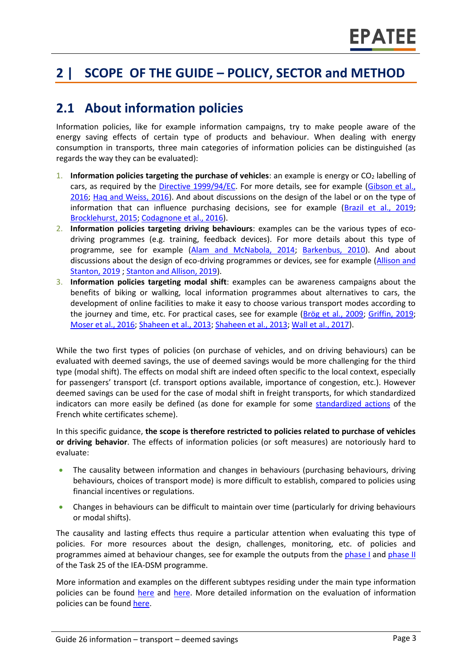# **2 | SCOPE OF THE GUIDE – POLICY, SECTOR and METHOD**

### **2.1 About information policies**

Information policies, like for example information campaigns, try to make people aware of the energy saving effects of certain type of products and behaviour. When dealing with energy consumption in transports, three main categories of information policies can be distinguished (as regards the way they can be evaluated):

- 1. **Information policies targeting the purchase of vehicles**: an example is energy or CO<sub>2</sub> labelling of cars, as required by the [Directive 1999/94/EC.](https://eur-lex.europa.eu/legal-content/EN/TXT/?qid=1571825787878&uri=CELEX:01999L0094-20081211) For more details, see for example [\(Gibson et al.,](https://ec.europa.eu/clima/sites/clima/files/transport/vehicles/labelling/docs/car_labelling_final_report20160728_en.pdf)  [2016;](https://ec.europa.eu/clima/sites/clima/files/transport/vehicles/labelling/docs/car_labelling_final_report20160728_en.pdf) [Haq and Weiss,](https://www.sciencedirect.com/science/article/pii/S0301421516302129) 2016). And about discussions on the design of the label or on the type of information that can influence purchasing decisions, see for example [\(Brazil et al., 2019;](https://www.sciencedirect.com/science/article/pii/S1361920918310393) [Brocklehurst, 2015;](https://www.eceee.org/library/conference_proceedings/eceee_Summer_Studies/2015/7-appliances-product-policy-and-the-ict-supply-chain/the-label-you-drive-what-can-eu-appliance-labelling-learn-from-the-experience-of-eu-consumer-information-on-the-fuel-consumption-of-cars/) [Codagnone et al., 2016\)](https://link.springer.com/article/10.1007/s40888-016-0042-2).
- 2. **Information policies targeting driving behaviours**: examples can be the various types of ecodriving programmes (e.g. training, feedback devices). For more details about this type of programme, see for example (Alam and [McNabola, 2014;](https://www.sciencedirect.com/science/article/abs/pii/S0967070X14001152) [Barkenbus, 2010\)](https://law.vanderbilt.edu/files/archive/ecodriving-pub.pdf). And about discussions about the design of eco-driving programmes or devices, see for example [\(Allison and](https://www.tandfonline.com/doi/abs/10.1080/1463922X.2018.1484967)  [Stanton, 2019](https://www.tandfonline.com/doi/abs/10.1080/1463922X.2018.1484967)[; Stanton and Allison, 2019\)](https://link.springer.com/article/10.1007/s10111-019-00554-7).
- 3. **Information policies targeting modal shift**: examples can be awareness campaigns about the benefits of biking or walking, local information programmes about alternatives to cars, the development of online facilities to make it easy to choose various transport modes according to the journey and time, etc. For practical cases, see for example [\(Brög et al., 2009;](http://www.socialdata.de/info/TPol2009.pdf) [Griffin, 2019;](https://osf.io/preprints/socarxiv/xqmhr/download) [Moser et al., 2016;](https://energy-evaluation.org/wp-content/uploads/2019/06/2016-paper-moser.pdf) [Shaheen et al., 2013; Shaheen et al., 2013;](https://escholarship.org/uc/item/7010k9p3) [Wall et al., 2017\)](https://researchportal.port.ac.uk/portal/files/5069734/BGCC_paper.pdf).

While the two first types of policies (on purchase of vehicles, and on driving behaviours) can be evaluated with deemed savings, the use of deemed savings would be more challenging for the third type (modal shift). The effects on modal shift are indeed often specific to the local context, especially for passengers' transport (cf. transport options available, importance of congestion, etc.). However deemed savings can be used for the case of modal shift in freight transports, for which standardized indicators can more easily be defined (as done for example for some [standardized actions](https://www.ecologique-solidaire.gouv.fr/operations-standardisees-deconomies-denergie#e8) of the French white certificates scheme).

In this specific guidance, **the scope is therefore restricted to policies related to purchase of vehicles or driving behavior**. The effects of information policies (or soft measures) are notoriously hard to evaluate:

- The causality between information and changes in behaviours (purchasing behaviours, driving behaviours, choices of transport mode) is more difficult to establish, compared to policies using financial incentives or regulations.
- Changes in behaviours can be difficult to maintain over time (particularly for driving behaviours or modal shifts).

The causality and lasting effects thus require a particular attention when evaluating this type of policies. For more resources about the design, challenges, monitoring, etc. of policies and programmes aimed at behaviour changes, see for example the outputs from the [phase I](http://www.ieadsm.org/task/task-24-phase-1/) and [phase II](http://www.ieadsm.org/task/task-24-phase-2/) of the Task 25 of the IEA-DSM programme.

More information and examples on the different subtypes residing under the main type information policies can be found [here](http://www.measures-odyssee-mure.eu/) and [here.](https://www.epatee-toolbox.eu/knowledge-base/) More detailed information on the evaluation of information policies can be found [here.](https://www.epatee-lib.eu/media/docs/EMEEES_WP2_D1_Assessment_existing_evaluation_2008-04-21.pdf)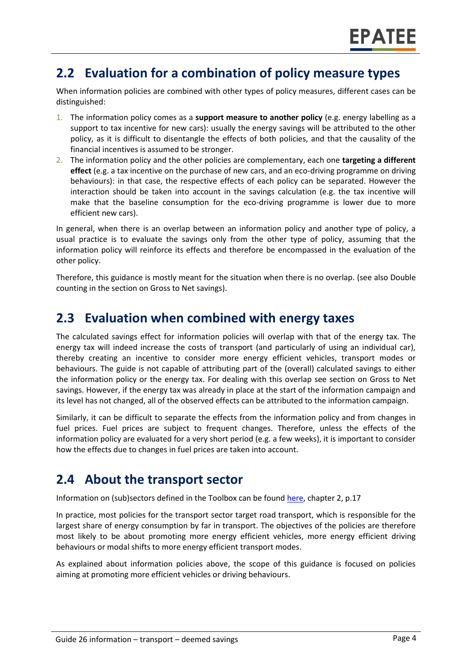### **2.2 Evaluation for a combination of policy measure types**

When information policies are combined with other types of policy measures, different cases can be distinguished:

- 1. The information policy comes as a **support measure to another policy** (e.g. energy labelling as a support to tax incentive for new cars): usually the energy savings will be attributed to the other policy, as it is difficult to disentangle the effects of both policies, and that the causality of the financial incentives is assumed to be stronger.
- 2. The information policy and the other policies are complementary, each one **targeting a different effect** (e.g. a tax incentive on the purchase of new cars, and an eco-driving programme on driving behaviours): in that case, the respective effects of each policy can be separated. However the interaction should be taken into account in the savings calculation (e.g. the tax incentive will make that the baseline consumption for the eco-driving programme is lower due to more efficient new cars).

In general, when there is an overlap between an information policy and another type of policy, a usual practice is to evaluate the savings only from the other type of policy, assuming that the information policy will reinforce its effects and therefore be encompassed in the evaluation of the other policy.

Therefore, this guidance is mostly meant for the situation when there is no overlap. (see also Double counting in the section on Gross to Net savings).

#### **2.3 Evaluation when combined with energy taxes**

The calculated savings effect for information policies will overlap with that of the energy tax. The energy tax will indeed increase the costs of transport (and particularly of using an individual car), thereby creating an incentive to consider more energy efficient vehicles, transport modes or behaviours. The guide is not capable of attributing part of the (overall) calculated savings to either the information policy or the energy tax. For dealing with this overlap see section on Gross to Net savings. However, if the energy tax was already in place at the start of the information campaign and its level has not changed, all of the observed effects can be attributed to the information campaign.

Similarly, it can be difficult to separate the effects from the information policy and from changes in fuel prices. Fuel prices are subject to frequent changes. Therefore, unless the effects of the information policy are evaluated for a very short period (e.g. a few weeks), it is important to consider how the effects due to changes in fuel prices are taken into account.

#### **2.4 About the transport sector**

Information on (sub)sectors defined in the Toolbox can be found [here,](https://www.epatee-toolbox.eu/wp-content/uploads/2018/10/Definitions-and-typologies-related-to-energy-savings-evaluation.pdf) chapter 2, p.17

In practice, most policies for the transport sector target road transport, which is responsible for the largest share of energy consumption by far in transport. The objectives of the policies are therefore most likely to be about promoting more energy efficient vehicles, more energy efficient driving behaviours or modal shifts to more energy efficient transport modes.

As explained about information policies above, the scope of this guidance is focused on policies aiming at promoting more efficient vehicles or driving behaviours.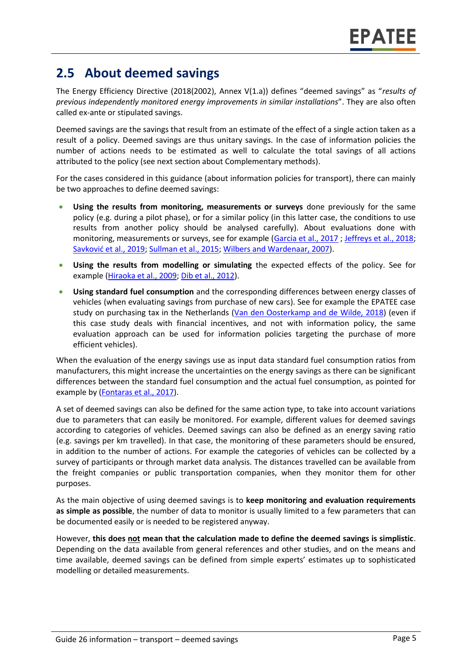### **2.5 About deemed savings**

The Energy Efficiency Directive (2018(2002), Annex V(1.a)) defines "deemed savings" as "*results of previous independently monitored energy improvements in similar installations*". They are also often called ex-ante or stipulated savings.

Deemed savings are the savings that result from an estimate of the effect of a single action taken as a result of a policy. Deemed savings are thus unitary savings. In the case of information policies the number of actions needs to be estimated as well to calculate the total savings of all actions attributed to the policy (see next section about Complementary methods).

For the cases considered in this guidance (about information policies for transport), there can mainly be two approaches to define deemed savings:

- **Using the results from monitoring, measurements or surveys** done previously for the same policy (e.g. during a pilot phase), or for a similar policy (in this latter case, the conditions to use results from another policy should be analysed carefully). About evaluations done with monitoring, measurements or surveys, see for example [\(Garcia et al., 2017](https://www.mdpi.com/1996-1073/10/12/2060/pdf) [; Jeffreys et al., 2018;](https://www.sciencedirect.com/science/article/pii/S1361920915002278) [Savković et al., 2019](http://www.oresta.org/index.php/oresta/article/download/11/11); [Sullman et al., 2015;](https://www.researchgate.net/profile/Mark_Sullman/publication/281551539_Eco-driving/data/55ed73ec08ae21d099c7552a/Eco-driving.pdf) [Wilbers and Wardenaar, 2007\)](https://www.eceee.org/static/media/uploads/site-2/library/conference_proceedings/eceee_Summer_Studies/2007/Panel_8/8.111/paper.pdf).
- **Using the results from modelling or simulating** the expected effects of the policy. See for example [\(Hiraoka et al., 2009;](https://www.researchgate.net/profile/Toshihiro_Hiraoka/publication/234054282_Quantitative_evaluation_of_eco-driving_on_fuel_consumption_based_on_driving_simulator_experiments/links/0fcfd50ea1f7a8f4dd000000/Quantitative-evaluation-of-eco-driving-on-fuel-consumption-based-on-driving-simulator-experiments.pdf) Dib [et al., 2012\)](https://ogst.ifpenergiesnouvelles.fr/articles/ogst/pdf/2012/04/ogst120032.pdf).
- **Using standard fuel consumption** and the corresponding differences between energy classes of vehicles (when evaluating savings from purchase of new cars). See for example the EPATEE case study on purchasing tax in the Netherlands [\(Van den Oosterkamp and de Wilde, 2018\)](https://epatee.eu/system/tdf/epatee_case_study_netherlands_purchase_tax_for_passenger_cars_ok_0.pdf?file=1&type=node&id=80) (even if this case study deals with financial incentives, and not with information policy, the same evaluation approach can be used for information policies targeting the purchase of more efficient vehicles).

When the evaluation of the energy savings use as input data standard fuel consumption ratios from manufacturers, this might increase the uncertainties on the energy savings as there can be significant differences between the standard fuel consumption and the actual fuel consumption, as pointed for example by [\(Fontaras et al., 2017\)](https://www.sciencedirect.com/science/article/pii/S0360128516300442).

A set of deemed savings can also be defined for the same action type, to take into account variations due to parameters that can easily be monitored. For example, different values for deemed savings according to categories of vehicles. Deemed savings can also be defined as an energy saving ratio (e.g. savings per km travelled). In that case, the monitoring of these parameters should be ensured, in addition to the number of actions. For example the categories of vehicles can be collected by a survey of participants or through market data analysis. The distances travelled can be available from the freight companies or public transportation companies, when they monitor them for other purposes.

As the main objective of using deemed savings is to **keep monitoring and evaluation requirements as simple as possible**, the number of data to monitor is usually limited to a few parameters that can be documented easily or is needed to be registered anyway.

However, **this does not mean that the calculation made to define the deemed savings is simplistic**. Depending on the data available from general references and other studies, and on the means and time available, deemed savings can be defined from simple experts' estimates up to sophisticated modelling or detailed measurements.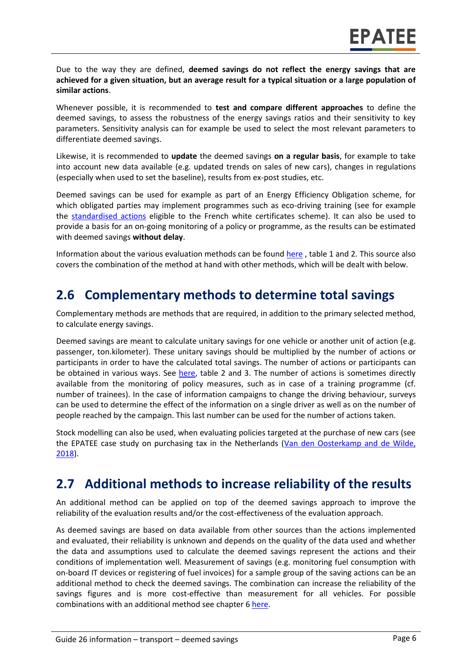Due to the way they are defined, **deemed savings do not reflect the energy savings that are achieved for a given situation, but an average result for a typical situation or a large population of similar actions**.

Whenever possible, it is recommended to **test and compare different approaches** to define the deemed savings, to assess the robustness of the energy savings ratios and their sensitivity to key parameters. Sensitivity analysis can for example be used to select the most relevant parameters to differentiate deemed savings.

Likewise, it is recommended to **update** the deemed savings **on a regular basis**, for example to take into account new data available (e.g. updated trends on sales of new cars), changes in regulations (especially when used to set the baseline), results from ex-post studies, etc.

Deemed savings can be used for example as part of an Energy Efficiency Obligation scheme, for which obligated parties may implement programmes such as eco-driving training (see for example the [standardised actions](https://www.ecologique-solidaire.gouv.fr/operations-standardisees-deconomies-denergie#e8) eligible to the French white certificates scheme). It can also be used to provide a basis for an on-going monitoring of a policy or programme, as the results can be estimated with deemed savings **without delay**.

Information about the various evaluation methods can be found [here](https://www.academia.edu/14979876/Evaluating_energy_efficiency_policy_measures_and_DSM_programmes) , table 1 and 2. This source also covers the combination of the method at hand with other methods, which will be dealt with below.

### **2.6 Complementary methods to determine total savings**

Complementary methods are methods that are required, in addition to the primary selected method, to calculate energy savings.

Deemed savings are meant to calculate unitary savings for one vehicle or another unit of action (e.g. passenger, ton.kilometer). These unitary savings should be multiplied by the number of actions or participants in order to have the calculated total savings. The number of actions or participants can be obtained in various ways. See [here,](https://www.epatee-toolbox.eu/evaluation-principles-and-methods/saving-calculation-methods-and-their-application-in-the-epatee-toolbox/) table 2 and 3. The number of actions is sometimes directly available from the monitoring of policy measures, such as in case of a training programme (cf. number of trainees). In the case of information campaigns to change the driving behaviour, surveys can be used to determine the effect of the information on a single driver as well as on the number of people reached by the campaign. This last number can be used for the number of actions taken.

Stock modelling can also be used, when evaluating policies targeted at the purchase of new cars (see the EPATEE case study on purchasing tax in the Netherlands [\(Van den Oosterkamp and de Wilde,](https://epatee.eu/system/tdf/epatee_case_study_netherlands_purchase_tax_for_passenger_cars_ok_0.pdf?file=1&type=node&id=80)  [2018\)](https://epatee.eu/system/tdf/epatee_case_study_netherlands_purchase_tax_for_passenger_cars_ok_0.pdf?file=1&type=node&id=80).

#### **2.7 Additional methods to increase reliability of the results**

An additional method can be applied on top of the deemed savings approach to improve the reliability of the evaluation results and/or the cost-effectiveness of the evaluation approach.

As deemed savings are based on data available from other sources than the actions implemented and evaluated, their reliability is unknown and depends on the quality of the data used and whether the data and assumptions used to calculate the deemed savings represent the actions and their conditions of implementation well. Measurement of savings (e.g. monitoring fuel consumption with on-board IT devices or registering of fuel invoices) for a sample group of the saving actions can be an additional method to check the deemed savings. The combination can increase the reliability of the savings figures and is more cost-effective than measurement for all vehicles. For possible combinations with an additional method see chapter 6 [here.](https://www.epatee-toolbox.eu/wp-content/uploads/2019/04/Saving_calculation_methods_for_EPATEE_Toobox_2019_04_24.pdf)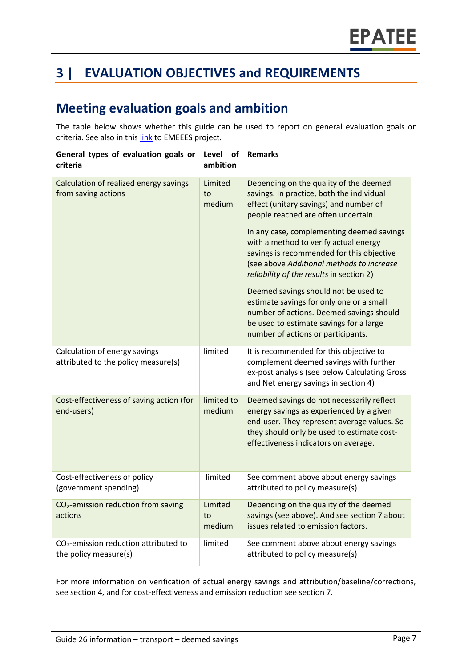# **3 | EVALUATION OBJECTIVES and REQUIREMENTS**

### **Meeting evaluation goals and ambition**

The table below shows whether this guide can be used to report on general evaluation goals or criteria. See also in thi[s link](https://www.epatee-lib.eu/media/docs/D4_EMEEES_Final.pdf) to EMEEES project.

| General types of evaluation goals or<br>criteria                     | Level<br>of<br>ambition | <b>Remarks</b>                                                                                                                                                                                                                                                                                                                                                                                                                                                                                                                                                                                                    |
|----------------------------------------------------------------------|-------------------------|-------------------------------------------------------------------------------------------------------------------------------------------------------------------------------------------------------------------------------------------------------------------------------------------------------------------------------------------------------------------------------------------------------------------------------------------------------------------------------------------------------------------------------------------------------------------------------------------------------------------|
| Calculation of realized energy savings<br>from saving actions        | Limited<br>to<br>medium | Depending on the quality of the deemed<br>savings. In practice, both the individual<br>effect (unitary savings) and number of<br>people reached are often uncertain.<br>In any case, complementing deemed savings<br>with a method to verify actual energy<br>savings is recommended for this objective<br>(see above Additional methods to increase<br>reliability of the results in section 2)<br>Deemed savings should not be used to<br>estimate savings for only one or a small<br>number of actions. Deemed savings should<br>be used to estimate savings for a large<br>number of actions or participants. |
| Calculation of energy savings<br>attributed to the policy measure(s) | limited                 | It is recommended for this objective to<br>complement deemed savings with further<br>ex-post analysis (see below Calculating Gross<br>and Net energy savings in section 4)                                                                                                                                                                                                                                                                                                                                                                                                                                        |
| Cost-effectiveness of saving action (for<br>end-users)               | limited to<br>medium    | Deemed savings do not necessarily reflect<br>energy savings as experienced by a given<br>end-user. They represent average values. So<br>they should only be used to estimate cost-<br>effectiveness indicators on average.                                                                                                                                                                                                                                                                                                                                                                                        |
| Cost-effectiveness of policy<br>(government spending)                | limited                 | See comment above about energy savings<br>attributed to policy measure(s)                                                                                                                                                                                                                                                                                                                                                                                                                                                                                                                                         |
| CO <sub>2</sub> -emission reduction from saving<br>actions           | Limited<br>to<br>medium | Depending on the quality of the deemed<br>savings (see above). And see section 7 about<br>issues related to emission factors.                                                                                                                                                                                                                                                                                                                                                                                                                                                                                     |
| $CO2$ -emission reduction attributed to<br>the policy measure(s)     | limited                 | See comment above about energy savings<br>attributed to policy measure(s)                                                                                                                                                                                                                                                                                                                                                                                                                                                                                                                                         |

For more information on verification of actual energy savings and attribution/baseline/corrections, see section 4, and for cost-effectiveness and emission reduction see section 7.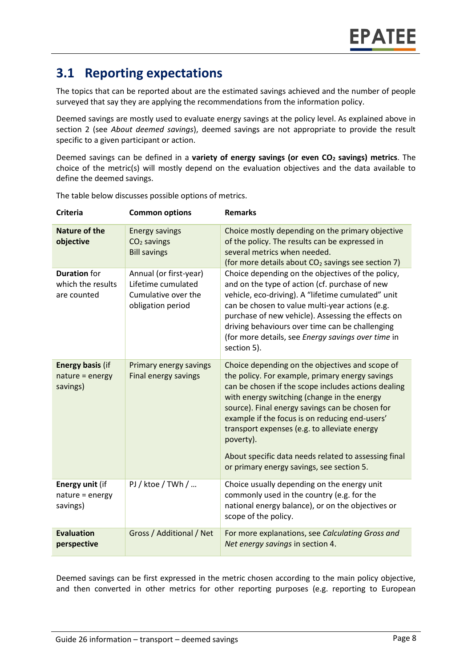### **3.1 Reporting expectations**

The topics that can be reported about are the estimated savings achieved and the number of people surveyed that say they are applying the recommendations from the information policy.

Deemed savings are mostly used to evaluate energy savings at the policy level. As explained above in section 2 (see *About deemed savings*), deemed savings are not appropriate to provide the result specific to a given participant or action.

Deemed savings can be defined in a **variety of energy savings (or even CO<sup>2</sup> savings) metrics**. The choice of the metric(s) will mostly depend on the evaluation objectives and the data available to define the deemed savings.

| <b>Criteria</b>                                         | <b>Common options</b>                                                                    | <b>Remarks</b>                                                                                                                                                                                                                                                                                                                                                                                                                                                                  |
|---------------------------------------------------------|------------------------------------------------------------------------------------------|---------------------------------------------------------------------------------------------------------------------------------------------------------------------------------------------------------------------------------------------------------------------------------------------------------------------------------------------------------------------------------------------------------------------------------------------------------------------------------|
| <b>Nature of the</b><br>objective                       | <b>Energy savings</b><br>$CO2$ savings<br><b>Bill savings</b>                            | Choice mostly depending on the primary objective<br>of the policy. The results can be expressed in<br>several metrics when needed.<br>(for more details about CO <sub>2</sub> savings see section 7)                                                                                                                                                                                                                                                                            |
| <b>Duration</b> for<br>which the results<br>are counted | Annual (or first-year)<br>Lifetime cumulated<br>Cumulative over the<br>obligation period | Choice depending on the objectives of the policy,<br>and on the type of action (cf. purchase of new<br>vehicle, eco-driving). A "lifetime cumulated" unit<br>can be chosen to value multi-year actions (e.g.<br>purchase of new vehicle). Assessing the effects on<br>driving behaviours over time can be challenging<br>(for more details, see Energy savings over time in<br>section 5).                                                                                      |
| <b>Energy basis (if</b><br>nature = energy<br>savings)  | Primary energy savings<br>Final energy savings                                           | Choice depending on the objectives and scope of<br>the policy. For example, primary energy savings<br>can be chosen if the scope includes actions dealing<br>with energy switching (change in the energy<br>source). Final energy savings can be chosen for<br>example if the focus is on reducing end-users'<br>transport expenses (e.g. to alleviate energy<br>poverty).<br>About specific data needs related to assessing final<br>or primary energy savings, see section 5. |
| Energy unit (if<br>nature = energy<br>savings)          | $PI /$ ktoe / TWh /                                                                      | Choice usually depending on the energy unit<br>commonly used in the country (e.g. for the<br>national energy balance), or on the objectives or<br>scope of the policy.                                                                                                                                                                                                                                                                                                          |
| <b>Evaluation</b><br>perspective                        | Gross / Additional / Net                                                                 | For more explanations, see Calculating Gross and<br>Net energy savings in section 4.                                                                                                                                                                                                                                                                                                                                                                                            |

The table below discusses possible options of metrics.

Deemed savings can be first expressed in the metric chosen according to the main policy objective, and then converted in other metrics for other reporting purposes (e.g. reporting to European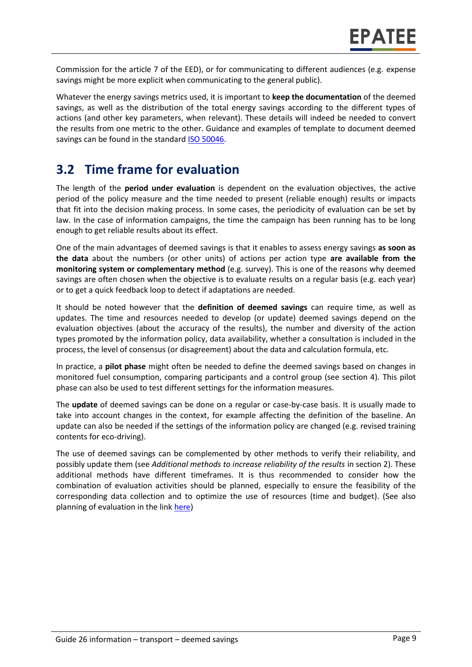Commission for the article 7 of the EED), or for communicating to different audiences (e.g. expense savings might be more explicit when communicating to the general public).

Whatever the energy savings metrics used, it is important to **keep the documentation** of the deemed savings, as well as the distribution of the total energy savings according to the different types of actions (and other key parameters, when relevant). These details will indeed be needed to convert the results from one metric to the other. Guidance and examples of template to document deemed savings can be found in the standard [ISO 50046.](https://www.iso.org/standard/67790.html)

### **3.2 Time frame for evaluation**

The length of the **period under evaluation** is dependent on the evaluation objectives, the active period of the policy measure and the time needed to present (reliable enough) results or impacts that fit into the decision making process. In some cases, the periodicity of evaluation can be set by law. In the case of information campaigns, the time the campaign has been running has to be long enough to get reliable results about its effect.

One of the main advantages of deemed savings is that it enables to assess energy savings **as soon as the data** about the numbers (or other units) of actions per action type **are available from the monitoring system or complementary method** (e.g. survey). This is one of the reasons why deemed savings are often chosen when the objective is to evaluate results on a regular basis (e.g. each year) or to get a quick feedback loop to detect if adaptations are needed.

It should be noted however that the **definition of deemed savings** can require time, as well as updates. The time and resources needed to develop (or update) deemed savings depend on the evaluation objectives (about the accuracy of the results), the number and diversity of the action types promoted by the information policy, data availability, whether a consultation is included in the process, the level of consensus (or disagreement) about the data and calculation formula, etc.

In practice, a **pilot phase** might often be needed to define the deemed savings based on changes in monitored fuel consumption, comparing participants and a control group (see section 4). This pilot phase can also be used to test different settings for the information measures.

The **update** of deemed savings can be done on a regular or case-by-case basis. It is usually made to take into account changes in the context, for example affecting the definition of the baseline. An update can also be needed if the settings of the information policy are changed (e.g. revised training contents for eco-driving).

The use of deemed savings can be complemented by other methods to verify their reliability, and possibly update them (see *Additional methods to increase reliability of the results* in section 2). These additional methods have different timeframes. It is thus recommended to consider how the combination of evaluation activities should be planned, especially to ensure the feasibility of the corresponding data collection and to optimize the use of resources (time and budget). (See also planning of evaluation in the lin[k here\)](https://www.epatee-toolbox.eu/wp-content/uploads/2019/04/epatee_integrating_evaluation_into_policy_cycle.pdf)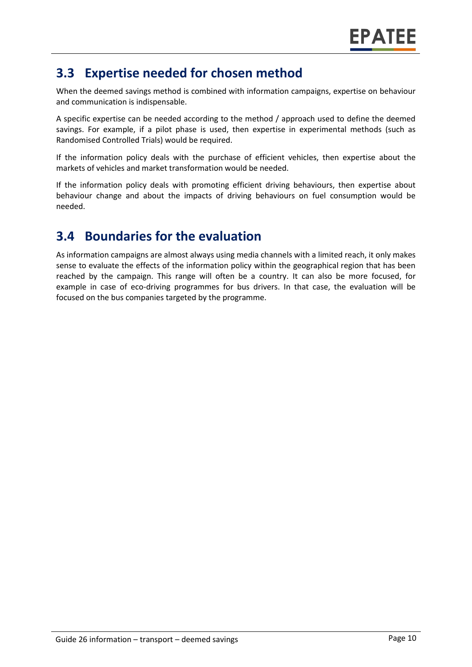### **3.3 Expertise needed for chosen method**

When the deemed savings method is combined with information campaigns, expertise on behaviour and communication is indispensable.

A specific expertise can be needed according to the method / approach used to define the deemed savings. For example, if a pilot phase is used, then expertise in experimental methods (such as Randomised Controlled Trials) would be required.

If the information policy deals with the purchase of efficient vehicles, then expertise about the markets of vehicles and market transformation would be needed.

If the information policy deals with promoting efficient driving behaviours, then expertise about behaviour change and about the impacts of driving behaviours on fuel consumption would be needed.

# **3.4 Boundaries for the evaluation**

As information campaigns are almost always using media channels with a limited reach, it only makes sense to evaluate the effects of the information policy within the geographical region that has been reached by the campaign. This range will often be a country. It can also be more focused, for example in case of eco-driving programmes for bus drivers. In that case, the evaluation will be focused on the bus companies targeted by the programme.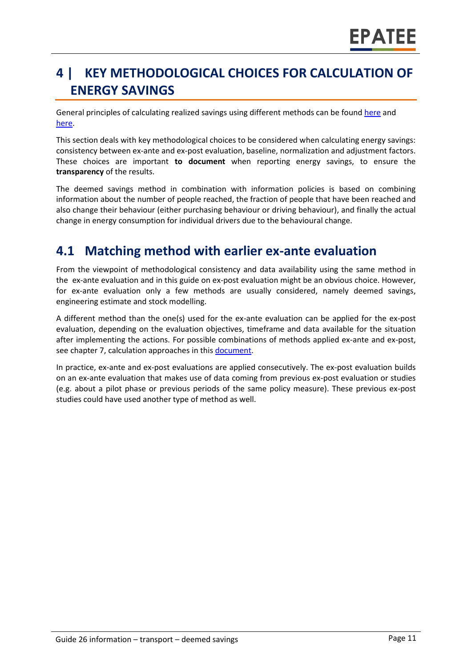# **4 | KEY METHODOLOGICAL CHOICES FOR CALCULATION OF ENERGY SAVINGS**

General principles of calculating realized savings using different methods can be found [here](https://www.epatee-lib.eu/media/docs/D4_EMEEES_Final.pdf) and [here.](https://www.epatee-lib.eu/media/docs/EMEEES_WP3_Report_Final.pdf)

This section deals with key methodological choices to be considered when calculating energy savings: consistency between ex-ante and ex-post evaluation, baseline, normalization and adjustment factors. These choices are important **to document** when reporting energy savings, to ensure the **transparency** of the results.

The deemed savings method in combination with information policies is based on combining information about the number of people reached, the fraction of people that have been reached and also change their behaviour (either purchasing behaviour or driving behaviour), and finally the actual change in energy consumption for individual drivers due to the behavioural change.

### **4.1 Matching method with earlier ex-ante evaluation**

From the viewpoint of methodological consistency and data availability using the same method in the ex-ante evaluation and in this guide on ex-post evaluation might be an obvious choice. However, for ex-ante evaluation only a few methods are usually considered, namely deemed savings, engineering estimate and stock modelling.

A different method than the one(s) used for the ex-ante evaluation can be applied for the ex-post evaluation, depending on the evaluation objectives, timeframe and data available for the situation after implementing the actions. For possible combinations of methods applied ex-ante and ex-post, see chapter 7, calculation approaches in this [document.](https://www.epatee-toolbox.eu/wp-content/uploads/2019/04/Saving_calculation_methods_for_EPATEE_Toobox_2019_04_24.pdf)

In practice, ex-ante and ex-post evaluations are applied consecutively. The ex-post evaluation builds on an ex-ante evaluation that makes use of data coming from previous ex-post evaluation or studies (e.g. about a pilot phase or previous periods of the same policy measure). These previous ex-post studies could have used another type of method as well.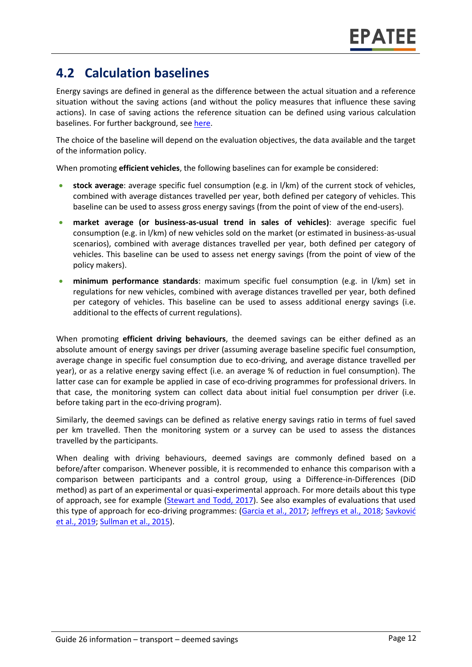### **4.2 Calculation baselines**

Energy savings are defined in general as the difference between the actual situation and a reference situation without the saving actions (and without the policy measures that influence these saving actions). In case of saving actions the reference situation can be defined using various calculation baselines. For further background, see [here.](https://www.epatee-toolbox.eu/wp-content/uploads/2019/04/Saving_calculation_methods_for_EPATEE_Toobox_2019_04_24.pdf)

The choice of the baseline will depend on the evaluation objectives, the data available and the target of the information policy.

When promoting **efficient vehicles**, the following baselines can for example be considered:

- **stock average**: average specific fuel consumption (e.g. in l/km) of the current stock of vehicles, combined with average distances travelled per year, both defined per category of vehicles. This baseline can be used to assess gross energy savings (from the point of view of the end-users).
- **market average (or business-as-usual trend in sales of vehicles)**: average specific fuel consumption (e.g. in l/km) of new vehicles sold on the market (or estimated in business-as-usual scenarios), combined with average distances travelled per year, both defined per category of vehicles. This baseline can be used to assess net energy savings (from the point of view of the policy makers).
- **minimum performance standards**: maximum specific fuel consumption (e.g. in l/km) set in regulations for new vehicles, combined with average distances travelled per year, both defined per category of vehicles. This baseline can be used to assess additional energy savings (i.e. additional to the effects of current regulations).

When promoting **efficient driving behaviours**, the deemed savings can be either defined as an absolute amount of energy savings per driver (assuming average baseline specific fuel consumption, average change in specific fuel consumption due to eco-driving, and average distance travelled per year), or as a relative energy saving effect (i.e. an average % of reduction in fuel consumption). The latter case can for example be applied in case of eco-driving programmes for professional drivers. In that case, the monitoring system can collect data about initial fuel consumption per driver (i.e. before taking part in the eco-driving program).

Similarly, the deemed savings can be defined as relative energy savings ratio in terms of fuel saved per km travelled. Then the monitoring system or a survey can be used to assess the distances travelled by the participants.

When dealing with driving behaviours, deemed savings are commonly defined based on a before/after comparison. Whenever possible, it is recommended to enhance this comparison with a comparison between participants and a control group, using a Difference-in-Differences (DiD method) as part of an experimental or quasi-experimental approach. For more details about this type of approach, see for example (Stewart and [Todd, 2017\)](https://www.nrel.gov/docs/fy17osti/68573.pdf). See also examples of evaluations that used this type of approach for eco-driving programmes: [\(Garcia et al., 2017;](https://www.mdpi.com/1996-1073/10/12/2060/pdf) [Jeffreys et al., 2018;](https://www.sciencedirect.com/science/article/pii/S1361920915002278) Savković [et al., 2019;](http://www.oresta.org/index.php/oresta/article/download/11/11) [Sullman et al., 2015\)](https://www.researchgate.net/profile/Mark_Sullman/publication/281551539_Eco-driving/data/55ed73ec08ae21d099c7552a/Eco-driving.pdf).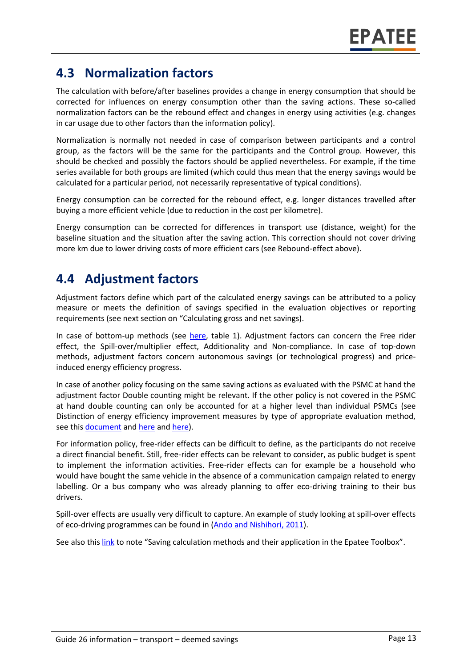### **4.3 Normalization factors**

The calculation with before/after baselines provides a change in energy consumption that should be corrected for influences on energy consumption other than the saving actions. These so-called normalization factors can be the rebound effect and changes in energy using activities (e.g. changes in car usage due to other factors than the information policy).

Normalization is normally not needed in case of comparison between participants and a control group, as the factors will be the same for the participants and the Control group. However, this should be checked and possibly the factors should be applied nevertheless. For example, if the time series available for both groups are limited (which could thus mean that the energy savings would be calculated for a particular period, not necessarily representative of typical conditions).

Energy consumption can be corrected for the rebound effect, e.g. longer distances travelled after buying a more efficient vehicle (due to reduction in the cost per kilometre).

Energy consumption can be corrected for differences in transport use (distance, weight) for the baseline situation and the situation after the saving action. This correction should not cover driving more km due to lower driving costs of more efficient cars (see Rebound-effect above).

### **4.4 Adjustment factors**

Adjustment factors define which part of the calculated energy savings can be attributed to a policy measure or meets the definition of savings specified in the evaluation objectives or reporting requirements (see next section on "Calculating gross and net savings).

In case of bottom-up methods (see [here,](https://www.epatee-toolbox.eu/wp-content/uploads/2019/04/Saving_calculation_methods_for_EPATEE_Toobox_2019_04_24.pdf) table 1). Adjustment factors can concern the Free rider effect, the Spill-over/multiplier effect, Additionality and Non-compliance. In case of top-down methods, adjustment factors concern autonomous savings (or technological progress) and priceinduced energy efficiency progress.

In case of another policy focusing on the same saving actions as evaluated with the PSMC at hand the adjustment factor Double counting might be relevant. If the other policy is not covered in the PSMC at hand double counting can only be accounted for at a higher level than individual PSMCs (see Distinction of energy efficiency improvement measures by type of appropriate evaluation method, see this **document** and [here](https://www.academia.edu/14979876/Evaluating_energy_efficiency_policy_measures_and_DSM_programmes) an[d here\)](https://www.epatee-lib.eu/media/docs/D4_EMEEES_Final.pdf).

For information policy, free-rider effects can be difficult to define, as the participants do not receive a direct financial benefit. Still, free-rider effects can be relevant to consider, as public budget is spent to implement the information activities. Free-rider effects can for example be a household who would have bought the same vehicle in the absence of a communication campaign related to energy labelling. Or a bus company who was already planning to offer eco-driving training to their bus drivers.

Spill-over effects are usually very difficult to capture. An example of study looking at spill-over effects of eco-driving programmes can be found in (Ando and [Nishihori, 2011\)](https://www.sciencedirect.com/science/article/pii/S1877042811014443).

See also thi[s link](https://www.epatee-toolbox.eu/wp-content/uploads/2019/04/Saving_calculation_methods_for_EPATEE_Toobox_2019_04_24.pdf) to note "Saving calculation methods and their application in the Epatee Toolbox".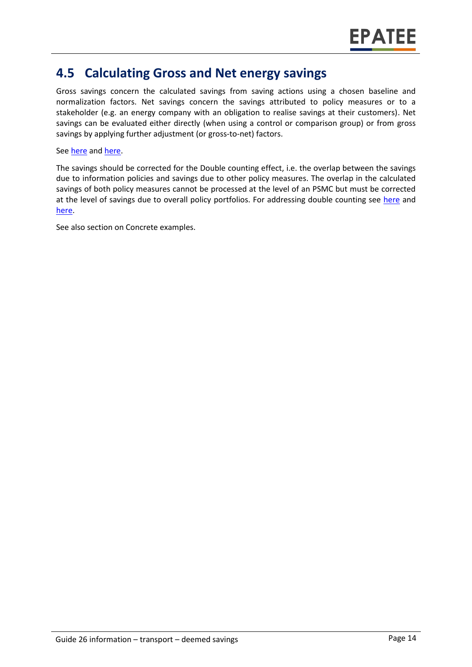### **4.5 Calculating Gross and Net energy savings**

Gross savings concern the calculated savings from saving actions using a chosen baseline and normalization factors. Net savings concern the savings attributed to policy measures or to a stakeholder (e.g. an energy company with an obligation to realise savings at their customers). Net savings can be evaluated either directly (when using a control or comparison group) or from gross savings by applying further adjustment (or gross-to-net) factors.

#### See [here](https://www.academia.edu/14979876/Evaluating_energy_efficiency_policy_measures_and_DSM_programmes) and [here.](https://www.epatee-lib.eu/media/docs/D4_EMEEES_Final.pdf)

The savings should be corrected for the Double counting effect, i.e. the overlap between the savings due to information policies and savings due to other policy measures. The overlap in the calculated savings of both policy measures cannot be processed at the level of an PSMC but must be corrected at the level of savings due to overall policy portfolios. For addressing double counting see [here](https://www.academia.edu/14979876/Evaluating_energy_efficiency_policy_measures_and_DSM_programmes) and [here.](https://www.epatee-lib.eu/media/docs/D4_EMEEES_Final.pdf)

See also section on Concrete examples.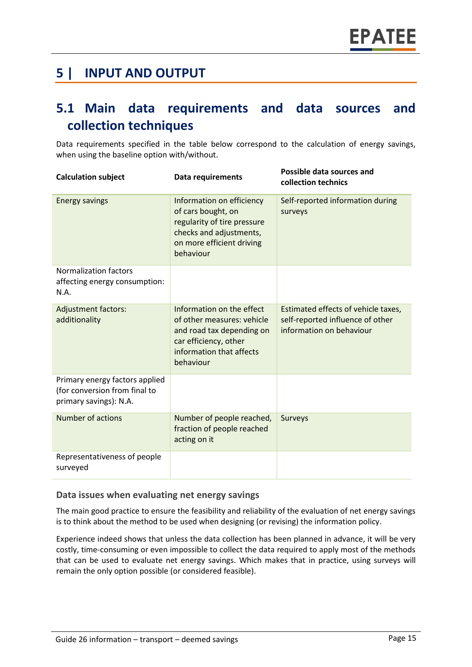### **5 | INPUT AND OUTPUT**

### **5.1 Main data requirements and data sources and collection techniques**

Data requirements specified in the table below correspond to the calculation of energy savings, when using the baseline option with/without.

| <b>Calculation subject</b>                                                                | <b>Data requirements</b>                                                                                                                               | Possible data sources and<br>collection technics                                                    |
|-------------------------------------------------------------------------------------------|--------------------------------------------------------------------------------------------------------------------------------------------------------|-----------------------------------------------------------------------------------------------------|
| <b>Energy savings</b>                                                                     | Information on efficiency<br>of cars bought, on<br>regularity of tire pressure<br>checks and adjustments,<br>on more efficient driving<br>behaviour    | Self-reported information during<br>surveys                                                         |
| <b>Normalization factors</b><br>affecting energy consumption:<br>N.A.                     |                                                                                                                                                        |                                                                                                     |
| <b>Adjustment factors:</b><br>additionality                                               | Information on the effect<br>of other measures: vehicle<br>and road tax depending on<br>car efficiency, other<br>information that affects<br>behaviour | Estimated effects of vehicle taxes,<br>self-reported influence of other<br>information on behaviour |
| Primary energy factors applied<br>(for conversion from final to<br>primary savings): N.A. |                                                                                                                                                        |                                                                                                     |
| Number of actions                                                                         | Number of people reached,<br>fraction of people reached<br>acting on it                                                                                | <b>Surveys</b>                                                                                      |
| Representativeness of people<br>surveyed                                                  |                                                                                                                                                        |                                                                                                     |

#### **Data issues when evaluating net energy savings**

The main good practice to ensure the feasibility and reliability of the evaluation of net energy savings is to think about the method to be used when designing (or revising) the information policy.

Experience indeed shows that unless the data collection has been planned in advance, it will be very costly, time-consuming or even impossible to collect the data required to apply most of the methods that can be used to evaluate net energy savings. Which makes that in practice, using surveys will remain the only option possible (or considered feasible).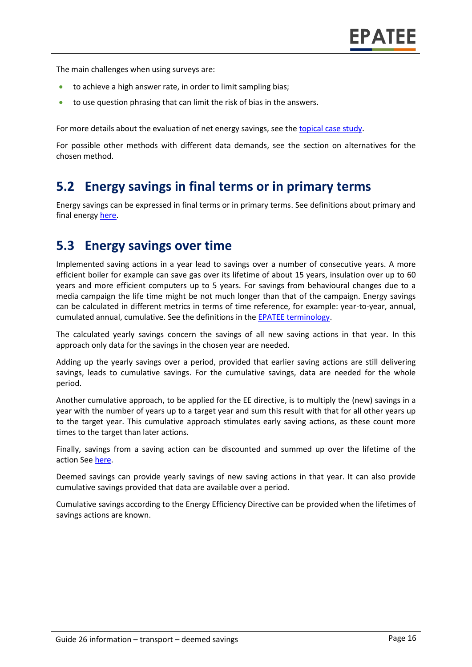The main challenges when using surveys are:

- to achieve a high answer rate, in order to limit sampling bias;
- to use question phrasing that can limit the risk of bias in the answers.

For more details about the evaluation of net energy savings, see the [topical case study.](https://www.epatee-toolbox.eu/wp-content/uploads/2018/10/epatee_topical_case_study_evaluating_net_energy_savings.pdf)

For possible other methods with different data demands, see the section on alternatives for the chosen method.

### **5.2 Energy savings in final terms or in primary terms**

Energy savings can be expressed in final terms or in primary terms. See definitions about primary and final energy [here.](https://www.epatee-toolbox.eu/wp-content/uploads/2018/10/Definitions-and-typologies-related-to-energy-savings-evaluation.pdf)

#### **5.3 Energy savings over time**

Implemented saving actions in a year lead to savings over a number of consecutive years. A more efficient boiler for example can save gas over its lifetime of about 15 years, insulation over up to 60 years and more efficient computers up to 5 years. For savings from behavioural changes due to a media campaign the life time might be not much longer than that of the campaign. Energy savings can be calculated in different metrics in terms of time reference, for example: year-to-year, annual, cumulated annual, cumulative. See the definitions in th[e EPATEE terminology.](https://www.epatee-toolbox.eu/wp-content/uploads/2018/10/Definitions-and-typologies-related-to-energy-savings-evaluation.pdf)

The calculated yearly savings concern the savings of all new saving actions in that year. In this approach only data for the savings in the chosen year are needed.

Adding up the yearly savings over a period, provided that earlier saving actions are still delivering savings, leads to cumulative savings. For the cumulative savings, data are needed for the whole period.

Another cumulative approach, to be applied for the EE directive, is to multiply the (new) savings in a year with the number of years up to a target year and sum this result with that for all other years up to the target year. This cumulative approach stimulates early saving actions, as these count more times to the target than later actions.

Finally, savings from a saving action can be discounted and summed up over the lifetime of the action See [here.](https://www.epatee-toolbox.eu/wp-content/uploads/2018/10/Definitions-and-typologies-related-to-energy-savings-evaluation.pdf)

Deemed savings can provide yearly savings of new saving actions in that year. It can also provide cumulative savings provided that data are available over a period.

Cumulative savings according to the Energy Efficiency Directive can be provided when the lifetimes of savings actions are known.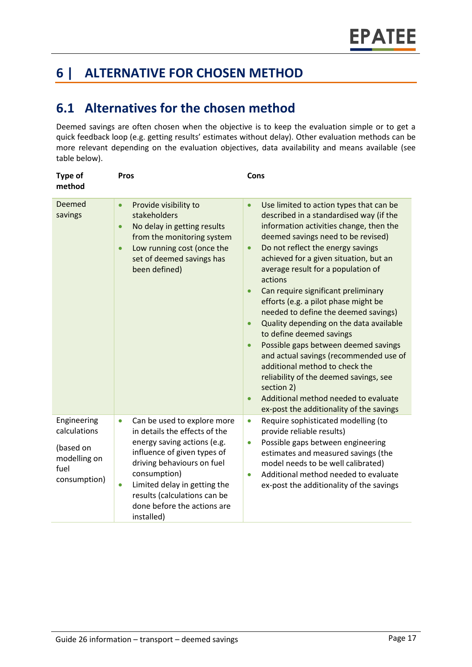# **6 | ALTERNATIVE FOR CHOSEN METHOD**

### **6.1 Alternatives for the chosen method**

Deemed savings are often chosen when the objective is to keep the evaluation simple or to get a quick feedback loop (e.g. getting results' estimates without delay). Other evaluation methods can be more relevant depending on the evaluation objectives, data availability and means available (see table below).

| <b>Type of</b><br>method                                                         | <b>Pros</b>                                                                                                                                                                                                                                                                                                     | Cons                                                                                                                                                                                                                                                                                                                                                                                                                                                                                                                                                                                                                                                                                                                                                                                                     |
|----------------------------------------------------------------------------------|-----------------------------------------------------------------------------------------------------------------------------------------------------------------------------------------------------------------------------------------------------------------------------------------------------------------|----------------------------------------------------------------------------------------------------------------------------------------------------------------------------------------------------------------------------------------------------------------------------------------------------------------------------------------------------------------------------------------------------------------------------------------------------------------------------------------------------------------------------------------------------------------------------------------------------------------------------------------------------------------------------------------------------------------------------------------------------------------------------------------------------------|
| Deemed<br>savings                                                                | Provide visibility to<br>$\bullet$<br>stakeholders<br>No delay in getting results<br>$\bullet$<br>from the monitoring system<br>Low running cost (once the<br>$\bullet$<br>set of deemed savings has<br>been defined)                                                                                           | Use limited to action types that can be<br>$\bullet$<br>described in a standardised way (if the<br>information activities change, then the<br>deemed savings need to be revised)<br>Do not reflect the energy savings<br>$\bullet$<br>achieved for a given situation, but an<br>average result for a population of<br>actions<br>Can require significant preliminary<br>efforts (e.g. a pilot phase might be<br>needed to define the deemed savings)<br>Quality depending on the data available<br>to define deemed savings<br>Possible gaps between deemed savings<br>$\bullet$<br>and actual savings (recommended use of<br>additional method to check the<br>reliability of the deemed savings, see<br>section 2)<br>Additional method needed to evaluate<br>ex-post the additionality of the savings |
| Engineering<br>calculations<br>(based on<br>modelling on<br>fuel<br>consumption) | Can be used to explore more<br>$\bullet$<br>in details the effects of the<br>energy saving actions (e.g.<br>influence of given types of<br>driving behaviours on fuel<br>consumption)<br>Limited delay in getting the<br>$\bullet$<br>results (calculations can be<br>done before the actions are<br>installed) | Require sophisticated modelling (to<br>$\bullet$<br>provide reliable results)<br>Possible gaps between engineering<br>$\bullet$<br>estimates and measured savings (the<br>model needs to be well calibrated)<br>Additional method needed to evaluate<br>$\bullet$<br>ex-post the additionality of the savings                                                                                                                                                                                                                                                                                                                                                                                                                                                                                            |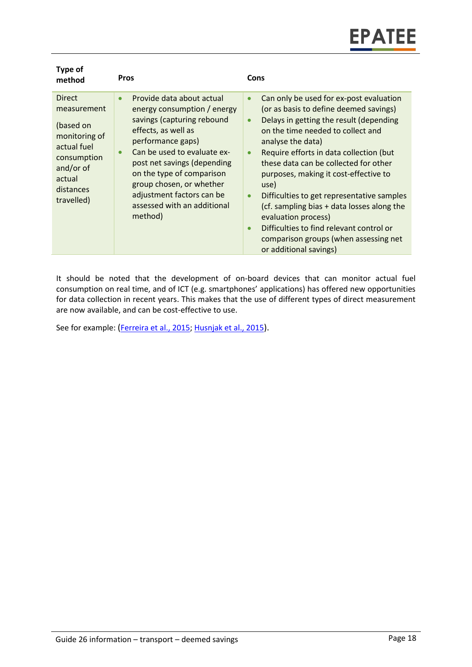| Type of<br>method                                                                                                                          | <b>Pros</b>                                                                                                                                                                                                                                                                                                                                                | Cons                                                                                                                                                                                                                                                                                                                                                                                                                                                                                                                                                                                                                           |
|--------------------------------------------------------------------------------------------------------------------------------------------|------------------------------------------------------------------------------------------------------------------------------------------------------------------------------------------------------------------------------------------------------------------------------------------------------------------------------------------------------------|--------------------------------------------------------------------------------------------------------------------------------------------------------------------------------------------------------------------------------------------------------------------------------------------------------------------------------------------------------------------------------------------------------------------------------------------------------------------------------------------------------------------------------------------------------------------------------------------------------------------------------|
| <b>Direct</b><br>measurement<br>(based on<br>monitoring of<br>actual fuel<br>consumption<br>and/or of<br>actual<br>distances<br>travelled) | Provide data about actual<br>$\bullet$<br>energy consumption / energy<br>savings (capturing rebound<br>effects, as well as<br>performance gaps)<br>Can be used to evaluate ex-<br>$\bullet$<br>post net savings (depending<br>on the type of comparison<br>group chosen, or whether<br>adjustment factors can be<br>assessed with an additional<br>method) | Can only be used for ex-post evaluation<br>$\bullet$<br>(or as basis to define deemed savings)<br>Delays in getting the result (depending<br>$\bullet$<br>on the time needed to collect and<br>analyse the data)<br>Require efforts in data collection (but<br>$\bullet$<br>these data can be collected for other<br>purposes, making it cost-effective to<br>use)<br>Difficulties to get representative samples<br>$\bullet$<br>(cf. sampling bias + data losses along the<br>evaluation process)<br>Difficulties to find relevant control or<br>$\bullet$<br>comparison groups (when assessing net<br>or additional savings) |

It should be noted that the development of on-board devices that can monitor actual fuel consumption on real time, and of ICT (e.g. smartphones' applications) has offered new opportunities for data collection in recent years. This makes that the use of different types of direct measurement are now available, and can be cost-effective to use.

See for example: (Ferreira [et al., 2015;](https://ieeexplore.ieee.org/abstract/document/7089244) Husnjak [et al., 2015](https://hrcak.srce.hr/file/220264)).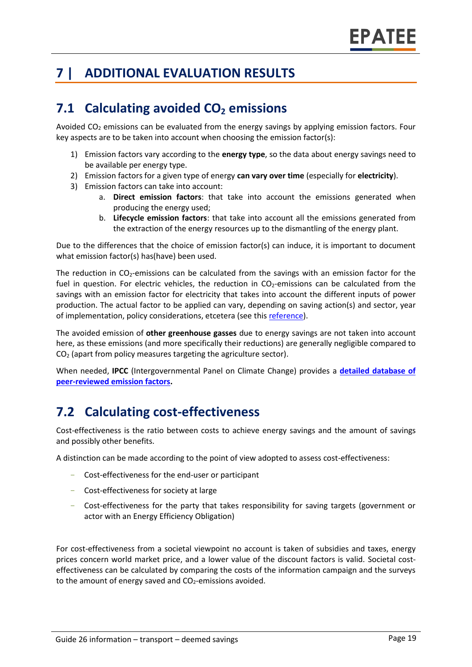# **7 | ADDITIONAL EVALUATION RESULTS**

# **7.1 Calculating avoided CO<sup>2</sup> emissions**

Avoided  $CO<sub>2</sub>$  emissions can be evaluated from the energy savings by applying emission factors. Four key aspects are to be taken into account when choosing the emission factor(s):

- 1) Emission factors vary according to the **energy type**, so the data about energy savings need to be available per energy type.
- 2) Emission factors for a given type of energy **can vary over time** (especially for **electricity**).
- 3) Emission factors can take into account:
	- a. **Direct emission factors**: that take into account the emissions generated when producing the energy used;
	- b. **Lifecycle emission factors**: that take into account all the emissions generated from the extraction of the energy resources up to the dismantling of the energy plant.

Due to the differences that the choice of emission factor(s) can induce, it is important to document what emission factor(s) has(have) been used.

The reduction in CO2-emissions can be calculated from the savings with an emission factor for the fuel in question. For electric vehicles, the reduction in  $CO<sub>2</sub>$ -emissions can be calculated from the savings with an emission factor for electricity that takes into account the different inputs of power production. The actual factor to be applied can vary, depending on saving action(s) and sector, year of implementation, policy considerations, etcetera (see this [reference\)](https://www.researchgate.net/publication/222601305_Evaluation_of_methods_used_to_determine_realized_energy_savings).

The avoided emission of **other greenhouse gasses** due to energy savings are not taken into account here, as these emissions (and more specifically their reductions) are generally negligible compared to CO<sup>2</sup> (apart from policy measures targeting the agriculture sector).

When needed, **IPCC** (Intergovernmental Panel on Climate Change) provides a **[detailed database of](https://www.ipcc-nggip.iges.or.jp/EFDB/main.php)  [peer-reviewed emission factors.](https://www.ipcc-nggip.iges.or.jp/EFDB/main.php)**

# **7.2 Calculating cost-effectiveness**

Cost-effectiveness is the ratio between costs to achieve energy savings and the amount of savings and possibly other benefits.

A distinction can be made according to the point of view adopted to assess cost-effectiveness:

- Cost-effectiveness for the end-user or participant
- Cost-effectiveness for society at large
- Cost-effectiveness for the party that takes responsibility for saving targets (government or actor with an Energy Efficiency Obligation)

For cost-effectiveness from a societal viewpoint no account is taken of subsidies and taxes, energy prices concern world market price, and a lower value of the discount factors is valid. Societal costeffectiveness can be calculated by comparing the costs of the information campaign and the surveys to the amount of energy saved and  $CO<sub>2</sub>$ -emissions avoided.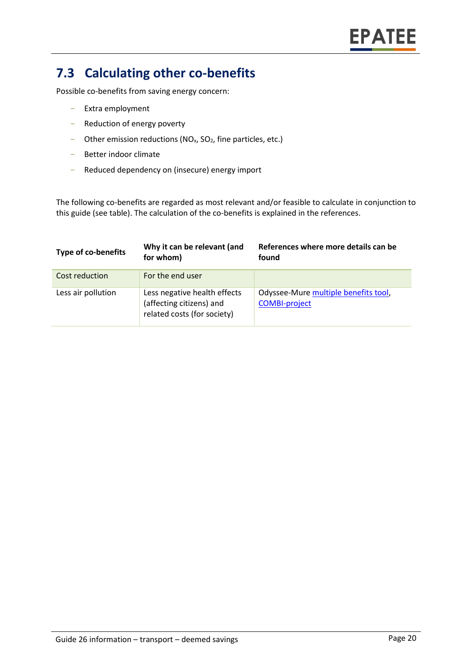# **7.3 Calculating other co-benefits**

Possible co-benefits from saving energy concern:

- Extra employment
- Reduction of energy poverty
- Other emission reductions ( $NO<sub>x</sub>$ ,  $SO<sub>2</sub>$ , fine particles, etc.)
- Better indoor climate
- Reduced dependency on (insecure) energy import

The following co-benefits are regarded as most relevant and/or feasible to calculate in conjunction to this guide (see table). The calculation of the co-benefits is explained in the references.

| <b>Type of co-benefits</b> | Why it can be relevant (and<br>for whom)                                                | References where more details can be<br>found                |
|----------------------------|-----------------------------------------------------------------------------------------|--------------------------------------------------------------|
| Cost reduction             | For the end user                                                                        |                                                              |
| Less air pollution         | Less negative health effects<br>(affecting citizens) and<br>related costs (for society) | Odyssee-Mure multiple benefits tool,<br><b>COMBI-project</b> |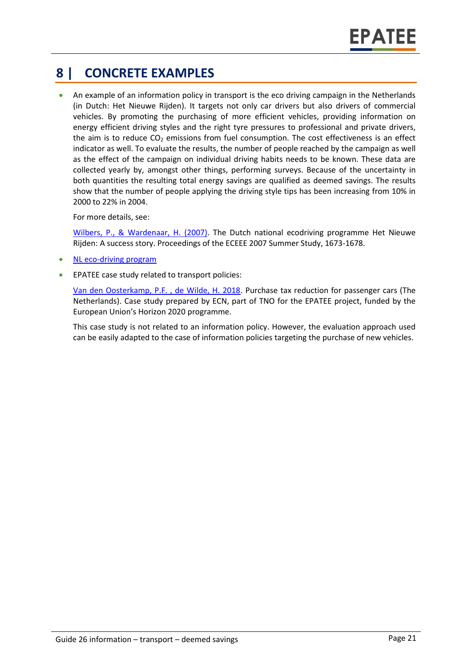# **8 | CONCRETE EXAMPLES**

• An example of an information policy in transport is the eco driving campaign in the Netherlands (in Dutch: Het Nieuwe Rijden). It targets not only car drivers but also drivers of commercial vehicles. By promoting the purchasing of more efficient vehicles, providing information on energy efficient driving styles and the right tyre pressures to professional and private drivers, the aim is to reduce  $CO<sub>2</sub>$  emissions from fuel consumption. The cost effectiveness is an effect indicator as well. To evaluate the results, the number of people reached by the campaign as well as the effect of the campaign on individual driving habits needs to be known. These data are collected yearly by, amongst other things, performing surveys. Because of the uncertainty in both quantities the resulting total energy savings are qualified as deemed savings. The results show that the number of people applying the driving style tips has been increasing from 10% in 2000 to 22% in 2004.

For more details, see:

[Wilbers, P., & Wardenaar, H. \(2007\).](https://www.eceee.org/static/media/uploads/site-2/library/conference_proceedings/eceee_Summer_Studies/2007/Panel_8/8.111/paper.pdf) The Dutch national ecodriving programme Het Nieuwe Rijden: A success story. Proceedings of the ECEEE 2007 Summer Study, 1673-1678.

- [NL eco-driving program](https://www.eltis.org/sites/default/files/Eco_Drive_6.pdf)
- EPATEE case study related to transport policies:

[Van den Oosterkamp, P.F. , de Wilde, H. 2018.](https://epatee.eu/system/tdf/epatee_case_study_netherlands_purchase_tax_for_passenger_cars_ok_0.pdf?file=1&type=node&id=80) Purchase tax reduction for passenger cars (The Netherlands). Case study prepared by ECN, part of TNO for the EPATEE project, funded by the European Union's Horizon 2020 programme.

This case study is not related to an information policy. However, the evaluation approach used can be easily adapted to the case of information policies targeting the purchase of new vehicles.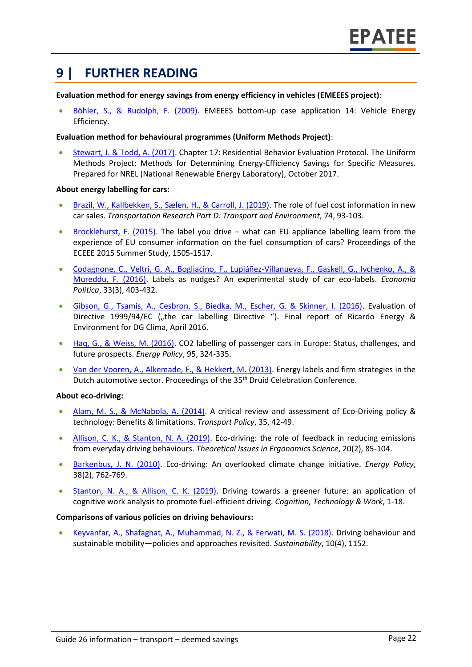### **9 | FURTHER READING**

#### **Evaluation method for energy savings from energy efficiency in vehicles (EMEEES project)**:

• [Böhler, S., & Rudolph, F. \(2009\).](http://www.evaluate-energy-savings.de/emeees/downloads/EMEEES_WP42_Method_14_Vehicle_EE_080226.pdf) EMEEES bottom-up case application 14: Vehicle Energy Efficiency.

#### **Evaluation method for behavioural programmes (Uniform Methods Project)**:

• [Stewart, J. & Todd, A. \(2017\).](https://www.nrel.gov/docs/fy17osti/68573.pdf) Chapter 17: Residential Behavior Evaluation Protocol. The Uniform Methods Project: Methods for Determining Energy-Efficiency Savings for Specific Measures. Prepared for NREL (National Renewable Energy Laboratory), October 2017.

#### **About energy labelling for cars:**

- [Brazil, W., Kallbekken, S., Sælen, H., & Carroll, J. \(2019\).](https://www.sciencedirect.com/science/article/pii/S1361920918310393) The role of fuel cost information in new car sales. *Transportation Research Part D: Transport and Environment*, 74, 93-103.
- [Brocklehurst, F. \(2015\).](https://www.eceee.org/library/conference_proceedings/eceee_Summer_Studies/2015/7-appliances-product-policy-and-the-ict-supply-chain/the-label-you-drive-what-can-eu-appliance-labelling-learn-from-the-experience-of-eu-consumer-information-on-the-fuel-consumption-of-cars/) The label you drive what can EU appliance labelling learn from the experience of EU consumer information on the fuel consumption of cars? Proceedings of the ECEEE 2015 Summer Study, 1505-1517.
- [Codagnone, C., Veltri, G. A., Bogliacino, F., Lupiáñez-Villanueva, F., Gaskell, G., Ivchenko, A., &](https://link.springer.com/article/10.1007/s40888-016-0042-2)  [Mureddu, F. \(2016\).](https://link.springer.com/article/10.1007/s40888-016-0042-2) Labels as nudges? An experimental study of car eco-labels. *Economia Politica*, 33(3), 403-432.
- [Gibson, G., Tsamis, A., Cesbron, S., Biedka, M., Escher, G. & Skinner, I. \(2016\).](https://ec.europa.eu/clima/sites/clima/files/transport/vehicles/labelling/docs/car_labelling_final_report20160728_en.pdf) Evaluation of Directive 1999/94/EC ("the car labelling Directive "). Final report of Ricardo Energy & Environment for DG Clima, April 2016.
- [Haq, G., & Weiss, M. \(2016\).](https://www.sciencedirect.com/science/article/pii/S0301421516302129) CO2 labelling of passenger cars in Europe: Status, challenges, and future prospects. *Energy Policy*, 95, 324-335.
- [Van der Vooren, A., Alkemade, F., & Hekkert, M. \(2013\).](https://conference.druid.dk/acc_papers/p1mlasfpqo7oj6bs6oo6ltiif4n5.pdf) Energy labels and firm strategies in the Dutch automotive sector. Proceedings of the 35<sup>th</sup> Druid Celebration Conference.

#### **About eco-driving:**

- [Alam, M. S., & McNabola, A. \(2014\).](https://www.sciencedirect.com/science/article/abs/pii/S0967070X14001152) A critical review and assessment of Eco-Driving policy & technology: Benefits & limitations. *Transport Policy*, 35, 42-49.
- [Allison, C. K., & Stanton, N. A. \(2019\).](https://www.tandfonline.com/doi/abs/10.1080/1463922X.2018.1484967) Eco-driving: the role of feedback in reducing emissions from everyday driving behaviours. *Theoretical Issues in Ergonomics Science*, 20(2), 85-104.
- [Barkenbus, J. N. \(2010\).](https://law.vanderbilt.edu/files/archive/ecodriving-pub.pdf) Eco-driving: An overlooked climate change initiative. *Energy Policy*, 38(2), 762-769.
- [Stanton, N. A., & Allison, C. K. \(2019\).](https://link.springer.com/article/10.1007/s10111-019-00554-7) Driving towards a greener future: an application of cognitive work analysis to promote fuel-efficient driving. *Cognition, Technology & Work*, 1-18.

#### **Comparisons of various policies on driving behaviours:**

• [Keyvanfar, A., Shafaghat, A., Muhammad, N. Z., & Ferwati, M. S. \(2018\).](https://www.mdpi.com/2071-1050/10/4/1152/pdf) Driving behaviour and sustainable mobility—policies and approaches revisited. *Sustainability*, 10(4), 1152.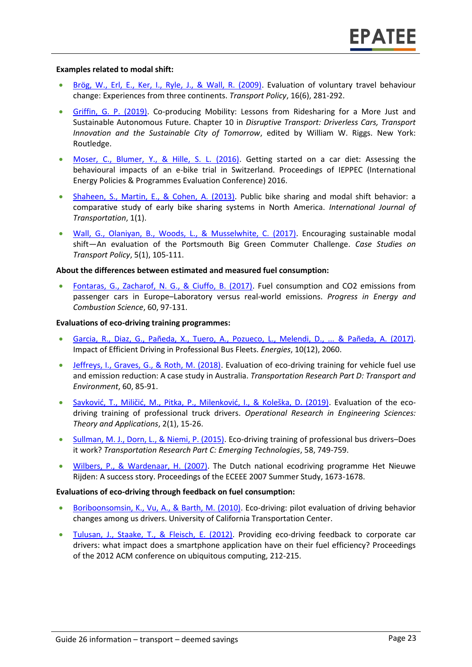#### **Examples related to modal shift:**

- [Brög, W., Erl, E., Ker, I., Ryle, J., & Wall, R. \(2009\).](http://www.socialdata.de/info/TPol2009.pdf) Evaluation of voluntary travel behaviour change: Experiences from three continents. *Transport Policy*, 16(6), 281-292.
- [Griffin, G. P. \(2019\).](https://osf.io/preprints/socarxiv/xqmhr/download) Co-producing Mobility: Lessons from Ridesharing for a More Just and Sustainable Autonomous Future. Chapter 10 in *Disruptive Transport: Driverless Cars, Transport Innovation and the Sustainable City of Tomorrow*, edited by William W. Riggs. New York: Routledge.
- [Moser, C., Blumer, Y., & Hille, S. L. \(2016\).](https://energy-evaluation.org/wp-content/uploads/2019/06/2016-paper-moser.pdf) Getting started on a car diet: Assessing the behavioural impacts of an e-bike trial in Switzerland. Proceedings of IEPPEC (International Energy Policies & Programmes Evaluation Conference) 2016.
- [Shaheen, S., Martin, E., & Cohen, A. \(2013\).](https://escholarship.org/uc/item/7010k9p3) Public bike sharing and modal shift behavior: a comparative study of early bike sharing systems in North America. *International Journal of Transportation*, 1(1).
- [Wall, G., Olaniyan, B., Woods, L., & Musselwhite, C. \(2017\).](https://researchportal.port.ac.uk/portal/files/5069734/BGCC_paper.pdf) Encouraging sustainable modal shift—An evaluation of the Portsmouth Big Green Commuter Challenge. *Case Studies on Transport Policy*, 5(1), 105-111.

#### **About the differences between estimated and measured fuel consumption:**

• [Fontaras, G., Zacharof, N. G., & Ciuffo, B. \(2017\).](https://www.sciencedirect.com/science/article/pii/S0360128516300442) Fuel consumption and CO2 emissions from passenger cars in Europe–Laboratory versus real-world emissions. *Progress in Energy and Combustion Science*, 60, 97-131.

#### **Evaluations of eco-driving training programmes:**

- [Garcia, R., Diaz, G., Pañeda, X., Tuero, A., Pozueco, L., Melendi, D., ... & Pañeda, A. \(2017\).](https://www.mdpi.com/1996-1073/10/12/2060/pdf) Impact of Efficient Driving in Professional Bus Fleets. *Energies*, 10(12), 2060.
- [Jeffreys, I., Graves, G., & Roth, M. \(2018\).](https://www.sciencedirect.com/science/article/pii/S1361920915002278) Evaluation of eco-driving training for vehicle fuel use and emission reduction: A case study in Australia. *Transportation Research Part D: Transport and Environment*, 60, 85-91.
- [Savković, T., Miličić, M., Pitka, P., Milenković, I., & Koleška, D. \(2019\)](http://www.oresta.org/index.php/oresta/article/download/11/11). Evaluation of the ecodriving training of professional truck drivers. *Operational Research in Engineering Sciences: Theory and Applications*, 2(1), 15-26.
- [Sullman, M. J., Dorn, L., & Niemi, P. \(2015\).](https://www.researchgate.net/profile/Mark_Sullman/publication/281551539_Eco-driving/data/55ed73ec08ae21d099c7552a/Eco-driving.pdf) Eco-driving training of professional bus drivers–Does it work? *Transportation Research Part C: Emerging Technologies*, 58, 749-759.
- [Wilbers, P., & Wardenaar, H. \(2007\).](https://www.eceee.org/static/media/uploads/site-2/library/conference_proceedings/eceee_Summer_Studies/2007/Panel_8/8.111/paper.pdf) The Dutch national ecodriving programme Het Nieuwe Rijden: A success story. Proceedings of the ECEEE 2007 Summer Study, 1673-1678.

#### **Evaluations of eco-driving through feedback on fuel consumption:**

- [Boriboonsomsin, K., Vu, A., & Barth, M. \(2010\).](https://escholarship.org/content/qt9z18z7xq/qt9z18z7xq.pdf) Eco-driving: pilot evaluation of driving behavior changes among us drivers. University of California Transportation Center.
- [Tulusan, J., Staake, T., & Fleisch, E. \(2012\).](https://www.alexandria.unisg.ch/224982/1/EnergyInformatics_Supporting%20eco-driving%20with%20eco-feedback%20technologies_Camera%20Ready%20Version.pdf) Providing eco-driving feedback to corporate car drivers: what impact does a smartphone application have on their fuel efficiency? Proceedings of the 2012 ACM conference on ubiquitous computing, 212-215.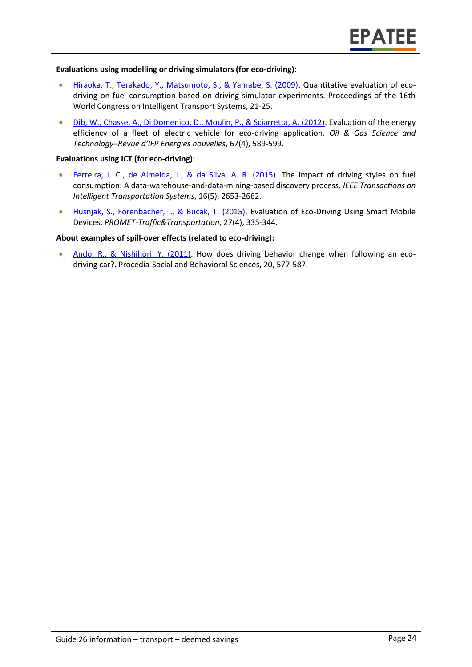#### **Evaluations using modelling or driving simulators (for eco-driving):**

- [Hiraoka, T., Terakado, Y., Matsumoto, S., & Yamabe, S. \(2009\).](https://www.researchgate.net/profile/Toshihiro_Hiraoka/publication/234054282_Quantitative_evaluation_of_eco-driving_on_fuel_consumption_based_on_driving_simulator_experiments/links/0fcfd50ea1f7a8f4dd000000/Quantitative-evaluation-of-eco-driving-on-fuel-consumption-based-on-driving-simulator-experiments.pdf) Quantitative evaluation of ecodriving on fuel consumption based on driving simulator experiments. Proceedings of the 16th World Congress on Intelligent Transport Systems, 21-25.
- [Dib, W., Chasse, A., Di Domenico, D., Moulin, P., & Sciarretta, A. \(2012\).](https://ogst.ifpenergiesnouvelles.fr/articles/ogst/pdf/2012/04/ogst120032.pdf) Evaluation of the energy efficiency of a fleet of electric vehicle for eco-driving application. *Oil & Gas Science and Technology–Revue d'IFP Energies nouvelles*, 67(4), 589-599.

#### **Evaluations using ICT (for eco-driving):**

- [Ferreira, J. C., de Almeida, J., & da Silva, A. R. \(2015\).](https://ieeexplore.ieee.org/abstract/document/7089244) The impact of driving styles on fuel consumption: A data-warehouse-and-data-mining-based discovery process. *IEEE Transactions on Intelligent Transportation Systems*, 16(5), 2653-2662.
- [Husnjak, S., Forenbacher, I., & Bucak, T. \(2015\).](https://hrcak.srce.hr/file/220264) Evaluation of Eco-Driving Using Smart Mobile Devices. *PROMET-Traffic&Transportation*, 27(4), 335-344.

#### **About examples of spill-over effects (related to eco-driving):**

• [Ando, R., & Nishihori, Y. \(2011\).](https://www.sciencedirect.com/science/article/pii/S1877042811014443) How does driving behavior change when following an ecodriving car?. Procedia-Social and Behavioral Sciences, 20, 577-587.